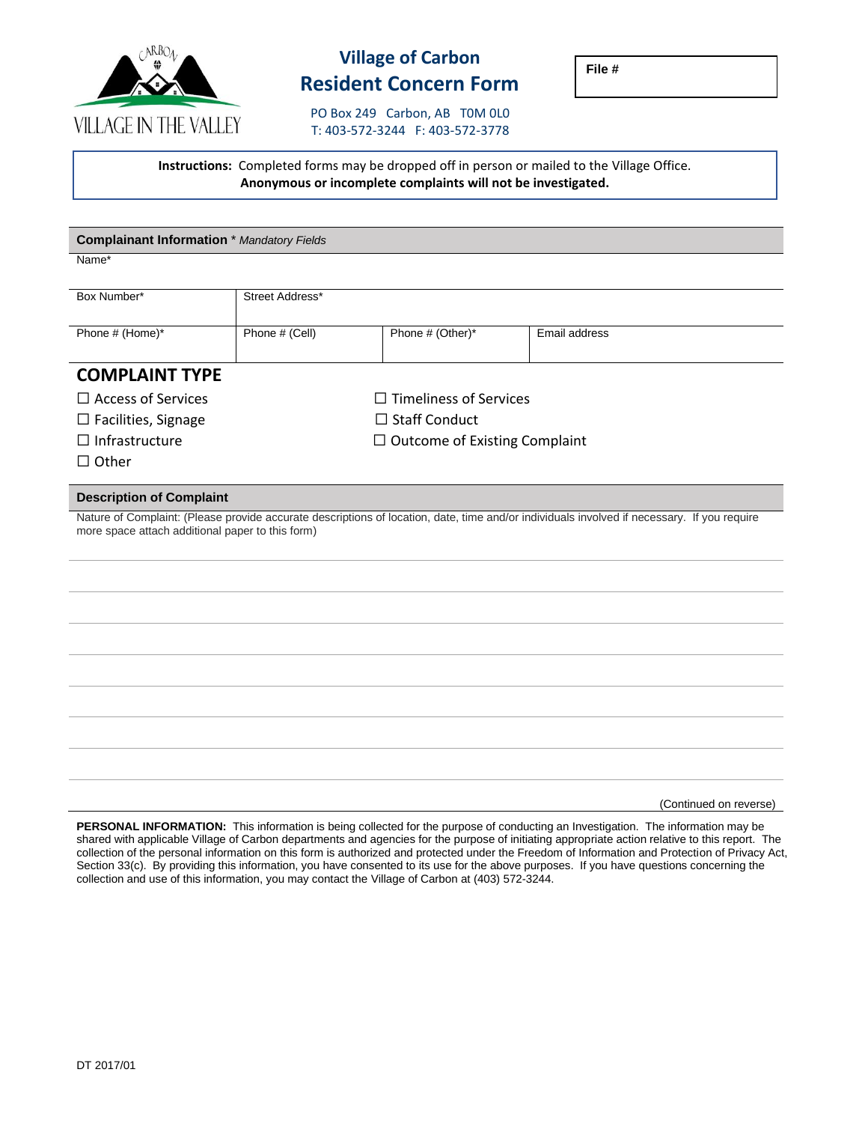

## **Village of Carbon Resident Concern Form**

**File #**

PO Box 249 Carbon, AB T0M 0L0 T: 403-572-3244 F: 403-572-3778

**Instructions:** Completed forms may be dropped off in person or mailed to the Village Office. **Anonymous or incomplete complaints will not be investigated.**

| <b>Complainant Information</b> * Mandatory Fields                                                                                                                                               |                                      |                  |               |  |  |  |  |  |
|-------------------------------------------------------------------------------------------------------------------------------------------------------------------------------------------------|--------------------------------------|------------------|---------------|--|--|--|--|--|
| Name*                                                                                                                                                                                           |                                      |                  |               |  |  |  |  |  |
| Box Number*                                                                                                                                                                                     | Street Address*                      |                  |               |  |  |  |  |  |
|                                                                                                                                                                                                 |                                      |                  |               |  |  |  |  |  |
| Phone # (Home)*                                                                                                                                                                                 | Phone # (Cell)                       | Phone # (Other)* | Email address |  |  |  |  |  |
|                                                                                                                                                                                                 |                                      |                  |               |  |  |  |  |  |
| <b>COMPLAINT TYPE</b>                                                                                                                                                                           |                                      |                  |               |  |  |  |  |  |
| $\Box$ Access of Services                                                                                                                                                                       | $\Box$ Timeliness of Services        |                  |               |  |  |  |  |  |
| $\Box$ Facilities, Signage                                                                                                                                                                      | $\Box$ Staff Conduct                 |                  |               |  |  |  |  |  |
| $\Box$ Infrastructure                                                                                                                                                                           | $\Box$ Outcome of Existing Complaint |                  |               |  |  |  |  |  |
| $\Box$ Other                                                                                                                                                                                    |                                      |                  |               |  |  |  |  |  |
| <b>Description of Complaint</b>                                                                                                                                                                 |                                      |                  |               |  |  |  |  |  |
| Nature of Complaint: (Please provide accurate descriptions of location, date, time and/or individuals involved if necessary. If you require<br>more space attach additional paper to this form) |                                      |                  |               |  |  |  |  |  |
|                                                                                                                                                                                                 |                                      |                  |               |  |  |  |  |  |
|                                                                                                                                                                                                 |                                      |                  |               |  |  |  |  |  |
|                                                                                                                                                                                                 |                                      |                  |               |  |  |  |  |  |
|                                                                                                                                                                                                 |                                      |                  |               |  |  |  |  |  |
|                                                                                                                                                                                                 |                                      |                  |               |  |  |  |  |  |
|                                                                                                                                                                                                 |                                      |                  |               |  |  |  |  |  |
|                                                                                                                                                                                                 |                                      |                  |               |  |  |  |  |  |
|                                                                                                                                                                                                 |                                      |                  |               |  |  |  |  |  |
|                                                                                                                                                                                                 |                                      |                  |               |  |  |  |  |  |
|                                                                                                                                                                                                 |                                      |                  |               |  |  |  |  |  |
|                                                                                                                                                                                                 |                                      |                  |               |  |  |  |  |  |

(Continued on reverse)

**PERSONAL INFORMATION:** This information is being collected for the purpose of conducting an Investigation. The information may be shared with applicable Village of Carbon departments and agencies for the purpose of initiating appropriate action relative to this report. The collection of the personal information on this form is authorized and protected under the Freedom of Information and Protection of Privacy Act, Section 33(c). By providing this information, you have consented to its use for the above purposes. If you have questions concerning the collection and use of this information, you may contact the Village of Carbon at (403) 572-3244.